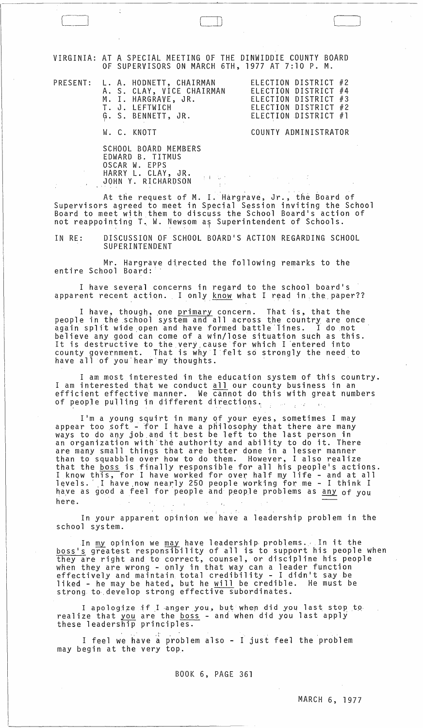VIRGINIA: AT A SPECIAL MEETING OF THE DINWIDDIE COUNTY BOARD OF SUPERVISORS ON MARCH 6TH, 1977 AT 7:10 P. M.

|  | PRESENT: L. A. HODNETT, CHAIRMAN<br>A. S. CLAY, VICE CHAIRMAN<br>M. I. HARGRAVE, JR.<br>T. J. LEFTWICH<br>G. S. BENNETT, JR. | ELECTION DISTRICT #2<br>ELECTION DISTRICT #4<br>ELECTION DISTRICT #3<br>ELECTION DISTRICT #2<br>ELECTION DISTRICT #1 |
|--|------------------------------------------------------------------------------------------------------------------------------|----------------------------------------------------------------------------------------------------------------------|
|  | W. C. KNOTT                                                                                                                  | COUNTY ADMINISTRATOR                                                                                                 |
|  | SCHOOL BOARD MEMBERS<br>EDWARD B. TITMUS                                                                                     |                                                                                                                      |

OSCAR W. EPPS

HARRY L. CLAY, JR. JOHN Y. RICHAROSON

At the request of M. I. Hargrave, Jr., the Board of Supervisors agreed to meet in Special Session inviting the School Board to meet with them to discuss the School Board's action of not reappointing T. W. Newsom as Superintendent of Schools.

法律

IN RE: DISCUSSION OF SCHOOL BOARD'S ACTION REGARDING SCHOOL SUPERINTENDENT

Mr. Hargrave directed the following remarks to the entire School Board:

I have several concerns in regard to the school board's apparent recent action. I only know what I read in the paper??

I have, though, one <u>primary</u> concern. That is, that the people in the school system and all across the country are once again split wide open and have formed battle Tines. I do not<br>believe any good can come of a win/lose situation such as this. It is destructive to the very, cause for which I 'entered into county government. That is why I 'felt s6 strongly the need to have all of you hear my thoughts.

I am most interested in the education system of this country. I am interested that we conduct all our county business in an efficient effective' manner. We cannot do this with great numbers of people pulling in different directions.  $\mathcal{A}(\mathcal{F})$  , and  $\mathcal{A}(\mathcal{F})$ 

11m a young squirt in many of your eyes, sometimes I may appear too soft - for I have a philosophy that there are many appear too sort - for I have a phriosophy that there are man.<br>ways to do any job and it best be left to the last person in an organization with'the authority and ability to do it. There are many small things that are better done in a lesser manner than to squabble over how to do them. However, I also realize that the <u>boss</u> is finally responsible for all his people's actions. I know this, for I have worked for over half my life - and at all 1evels. I have now nearly 250 people working for me - I think I have as good a feel for people and people problems as any of you here.

i In your apparent opinion we have a leadership problem in the school system.

In  ${\tt my}$  opinion we  ${\tt may}$  have leadership problems. . In it the boss's greatest responsibility of all is to support his people when they are right and to correct, counsel, or discipline his people when they are wrong - only in that way can a leader function effectively and maintain total credibility - I didn't say be liked - he may be hated, but he will be credible. He must be strong to develop strong effective subordinates.

I apologize if I anger you, but when did you last stop to realize that <u>you</u> are the <u>boss</u> - and when did you last apply these leadership principles .

I feel we have a problem also - I just feel the problem may begin at the very top.

BOOK 6, PAGE 361

 $\Box$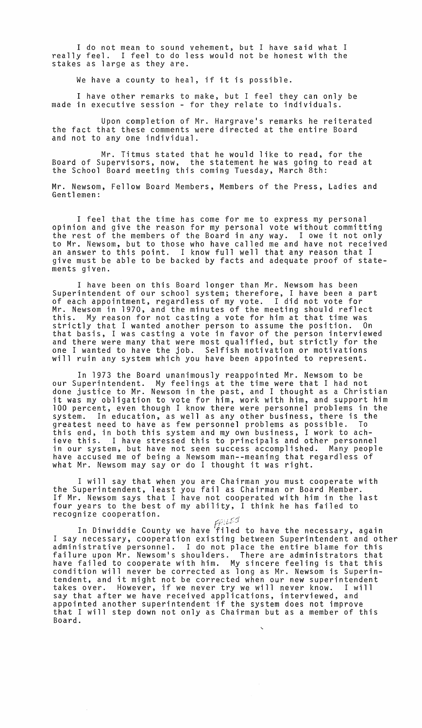I do not mean to sound vehement, but I have said what I really feel. I feel to do less would not be honest with the stakes as large as they are.

We have a county to heal, if it is possible.

I have other remarks to make, but I feel they can only be made in executive session - for they relate to individuals.

Upon completion of Mr. Hargrave's remarks he reiterated the fact that these comments were directed at the entire Board and not to anyone individual.

Mr. Titmus stated that he would like to read, for the Board of Supervisors, now, the statement he was going to read at the School Board meeting this coming Tuesday, March 8th:

Mr. Newsom, Fellow Board Members, Members of the Press, Ladies and Gentlemen:

I feel that the time has come for me to express my personal opinion and give the reason for my personal vote without committing the rest of the members of the Board in any way. I owe it not only to Mr. Newsom, but to those who have called me and have not received an answer to this point. I know full well that any reason that I give must be able to be backed by facts and adequate proof of statements given.

I have been on this Board longer than Mr. Newsom has been Superintendent of our school system; therefore, I have been a part<br>of each appointment, regardless of my vote. I did not vote for Mr. Newsom in 1970, and the minutes of the meeting should reflect this. My reason for not casting a vote for him at that time was strictly that I wanted another person to assume the position. On that basis, I was casting a vote in favor of the person interviewed and there were many that were most qualified, but strictly for the one I wanted to have the job. Selfish motivation or motivations will ruin any system which you have been appointed to represent.

In 1973 the Board unanimously reappointed Mr. Newsom to be our Superintendent. My feelings at the time were that I had not done justice to Mr. Newsom in the past, and I thought as a Christian it was my obligation to vote for him, work with him, and support him 100 percent, even though I know there were personnel problems in the system. In education, as well as any other business, there is the greatest need to have as few personnel problems as possible. To this end, in both this system and my own business, I work to achieve this. I have stressed this to principals and other personnel in our system, but have not seen success accomplished. Many people in our system, but have not seen success accomplished. Many people<br>have accused me of being a Newsom man--meaning that regardless of what Mr. Newsom may say or do I thought it was right.

I will say that when you are Chairman you must cooperate with the Superintendent, least If Mr. Newsom says that I four years to the best of my ability, I think he has failed to recognize cooperation. you fail as Chairman or Board Member. have not cooperated with him in the last

In Dinwiddie County we have  $\widetilde{f}^{p;iso}_{\Gamma}$  to have the necessary, again I say necessary, cooperation existing between Superintendent and other administrative personnel. I do not place the entire blame for this failure upon Mr. Newsom's shoulders. There are administrators that have failed to cooperate with him. My sincere feeling is that this condition will never be corrected as long as Mr. Newsom is Superintendent, and it might not be corrected when our new superintendent<br>takes over. However, if we never try we will never know. I will However, if we never try we will never know. say that after we have received applications, interviewed, and appointed another superintendent if the system does not improve that I will step down not only as Chairman but as a member of this Board.

"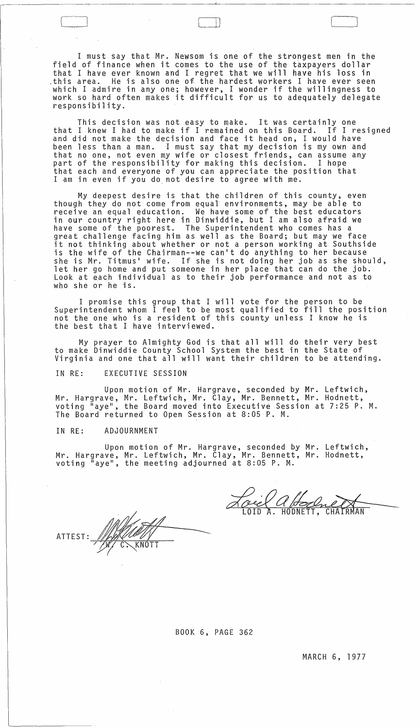I must say that Mr. Newsom is one of the strongest men in the field of finance when it comes to the use of the taxpayers dollar that I have ever known and I regret that we will have his loss in .this area. He is also one of the hardest workers I have ever seen which I admire in anyone; however, I wonder if the willingness to work so hard often makes it difficult for us to adequately delegate responsibil ity.

This decision was not easy to make. It was certainly one that I knew I had to make if I remained on this Board. If I resigned and did not make the decision and face it head on, I would have been less than a man. I must say that my decision is my own and that no one, not even my wife or closest friends, can assume any part of the responsibility for making this decision. I hope that each and everyone of you can appreciate the position that I am in even if *you* do not desire to agree with me.

My deepest desire is that the children of this county, even though they do not come from equal environments, may be able to receive an equal education. We have some of the best educators in our country right here in Dinwiddie, but I am also afraid we have some of the poorest. The Superintendent who comes has a great challenge facing him as well as the Board; but may we face it not thinking about whether or not a person working at Southside is the wife of the Chairman--we can't do anything to her because she is Mr. Titmus ' wife. If she is not doing her job as she should, let her go home and put someone in her place that can do the job. Look at each individual as to their job performance and not as to who she or he is.

I promise this group that I will vote for the person to be Superintendent whom I feel to be most qualified to fill the position not the one who is a resident of this county unless I know he is the best that I have interviewed.

My prayer to Almighty God is that all will do their very best to make Dinwiddie County School System the best in the State of Virginia and one that all will want their children to be attending.

## IN RE: EXECUTIVE SESSION

Upon motion of Mr. Hargrave, seconded by Mr. Leftwich, Mr. Hargrave, Mr. Leftwich, Mr. Clay, Mr. Bennett, Mr. Hodnett, voting "aye", the Board moved into Executive Session at 7:25 P. M. The Board returned to Open Session at 8:05 P. M.

## IN RE: ADJOURNMENT

Upon motion of Mr. Hargrave, seconded by Mr. Leftwich, Mr. Hargrave, Mr. Leftwich, Mr. Clay, Mr. Bennett, Mr. Hodnett, voting "aye", the meeting adjourned at 8:05 P. M.

ATTEST

Loie a House

## BOOK 6, PAGE 362

MARCH 6, 1977

 $\Box$